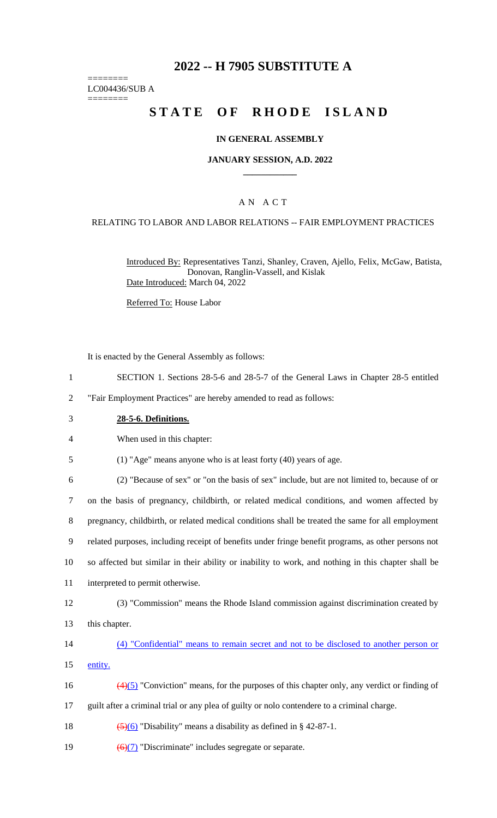# **2022 -- H 7905 SUBSTITUTE A**

======== LC004436/SUB A

========

# **STATE OF RHODE ISLAND**

#### **IN GENERAL ASSEMBLY**

#### **JANUARY SESSION, A.D. 2022 \_\_\_\_\_\_\_\_\_\_\_\_**

## A N A C T

#### RELATING TO LABOR AND LABOR RELATIONS -- FAIR EMPLOYMENT PRACTICES

Introduced By: Representatives Tanzi, Shanley, Craven, Ajello, Felix, McGaw, Batista, Donovan, Ranglin-Vassell, and Kislak Date Introduced: March 04, 2022

Referred To: House Labor

It is enacted by the General Assembly as follows:

1 SECTION 1. Sections 28-5-6 and 28-5-7 of the General Laws in Chapter 28-5 entitled

2 "Fair Employment Practices" are hereby amended to read as follows:

3 **28-5-6. Definitions.**

4 When used in this chapter:

5 (1) "Age" means anyone who is at least forty (40) years of age.

 (2) "Because of sex" or "on the basis of sex" include, but are not limited to, because of or on the basis of pregnancy, childbirth, or related medical conditions, and women affected by pregnancy, childbirth, or related medical conditions shall be treated the same for all employment related purposes, including receipt of benefits under fringe benefit programs, as other persons not so affected but similar in their ability or inability to work, and nothing in this chapter shall be interpreted to permit otherwise.

12 (3) "Commission" means the Rhode Island commission against discrimination created by 13 this chapter.

14 (4) "Confidential" means to remain secret and not to be disclosed to another person or 15 entity.

16 (4)(5) "Conviction" means, for the purposes of this chapter only, any verdict or finding of

17 guilt after a criminal trial or any plea of guilty or nolo contendere to a criminal charge.

18  $\left(\frac{5}{6}\right)$  "Disability" means a disability as defined in § 42-87-1.

19  $\left(\frac{6}{7}\right)$  "Discriminate" includes segregate or separate.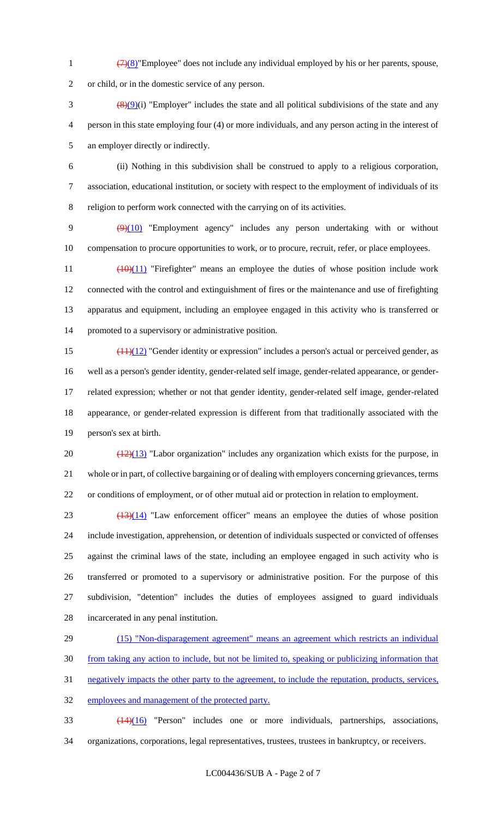1  $\frac{(7)(8)}{7}$  Employee" does not include any individual employed by his or her parents, spouse,

or child, or in the domestic service of any person.

 $\frac{(8)(9)}{1}$  "Employer" includes the state and all political subdivisions of the state and any person in this state employing four (4) or more individuals, and any person acting in the interest of an employer directly or indirectly.

 (ii) Nothing in this subdivision shall be construed to apply to a religious corporation, association, educational institution, or society with respect to the employment of individuals of its religion to perform work connected with the carrying on of its activities.

 (9)(10) "Employment agency" includes any person undertaking with or without compensation to procure opportunities to work, or to procure, recruit, refer, or place employees.

 $\left(\frac{10}{11}\right)$  "Firefighter" means an employee the duties of whose position include work connected with the control and extinguishment of fires or the maintenance and use of firefighting apparatus and equipment, including an employee engaged in this activity who is transferred or promoted to a supervisory or administrative position.

 $\frac{(11)(12)}{2}$  "Gender identity or expression" includes a person's actual or perceived gender, as well as a person's gender identity, gender-related self image, gender-related appearance, or gender- related expression; whether or not that gender identity, gender-related self image, gender-related appearance, or gender-related expression is different from that traditionally associated with the person's sex at birth.

20  $\left(\frac{(12)(13)}{(12)(13)}\right)$  "Labor organization" includes any organization which exists for the purpose, in whole or in part, of collective bargaining or of dealing with employers concerning grievances, terms or conditions of employment, or of other mutual aid or protection in relation to employment.

 $(13)(14)$  "Law enforcement officer" means an employee the duties of whose position include investigation, apprehension, or detention of individuals suspected or convicted of offenses against the criminal laws of the state, including an employee engaged in such activity who is transferred or promoted to a supervisory or administrative position. For the purpose of this subdivision, "detention" includes the duties of employees assigned to guard individuals incarcerated in any penal institution.

 (15) "Non-disparagement agreement" means an agreement which restricts an individual from taking any action to include, but not be limited to, speaking or publicizing information that negatively impacts the other party to the agreement, to include the reputation, products, services, employees and management of the protected party.

 (14)(16) "Person" includes one or more individuals, partnerships, associations, organizations, corporations, legal representatives, trustees, trustees in bankruptcy, or receivers.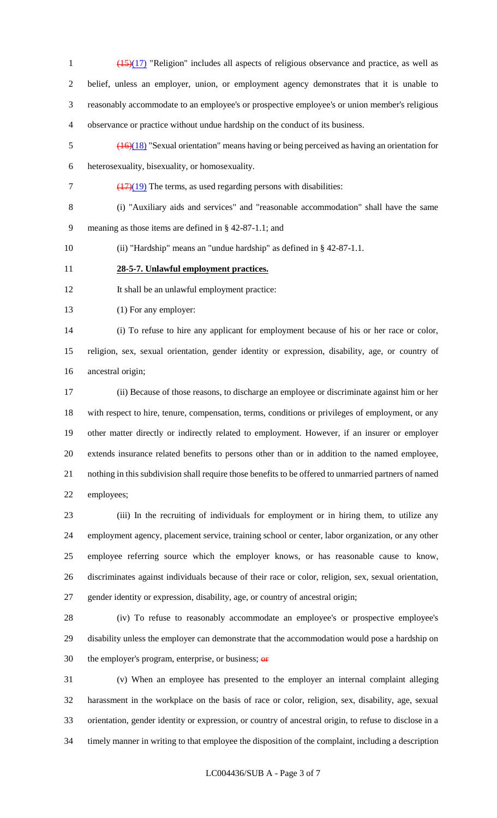- (15)(17) "Religion" includes all aspects of religious observance and practice, as well as belief, unless an employer, union, or employment agency demonstrates that it is unable to reasonably accommodate to an employee's or prospective employee's or union member's religious observance or practice without undue hardship on the conduct of its business.
- (16)(18) "Sexual orientation" means having or being perceived as having an orientation for heterosexuality, bisexuality, or homosexuality.
- $7 \frac{(17)(19)}{2}$  The terms, as used regarding persons with disabilities:
- (i) "Auxiliary aids and services" and "reasonable accommodation" shall have the same meaning as those items are defined in § 42-87-1.1; and
- (ii) "Hardship" means an "undue hardship" as defined in § 42-87-1.1.
- **28-5-7. Unlawful employment practices.**
- 12 It shall be an unlawful employment practice:
- (1) For any employer:

 (i) To refuse to hire any applicant for employment because of his or her race or color, religion, sex, sexual orientation, gender identity or expression, disability, age, or country of ancestral origin;

 (ii) Because of those reasons, to discharge an employee or discriminate against him or her with respect to hire, tenure, compensation, terms, conditions or privileges of employment, or any other matter directly or indirectly related to employment. However, if an insurer or employer extends insurance related benefits to persons other than or in addition to the named employee, nothing in this subdivision shall require those benefits to be offered to unmarried partners of named employees;

 (iii) In the recruiting of individuals for employment or in hiring them, to utilize any employment agency, placement service, training school or center, labor organization, or any other employee referring source which the employer knows, or has reasonable cause to know, discriminates against individuals because of their race or color, religion, sex, sexual orientation, gender identity or expression, disability, age, or country of ancestral origin;

 (iv) To refuse to reasonably accommodate an employee's or prospective employee's disability unless the employer can demonstrate that the accommodation would pose a hardship on 30 the employer's program, enterprise, or business;  $\theta$ 

 (v) When an employee has presented to the employer an internal complaint alleging harassment in the workplace on the basis of race or color, religion, sex, disability, age, sexual orientation, gender identity or expression, or country of ancestral origin, to refuse to disclose in a timely manner in writing to that employee the disposition of the complaint, including a description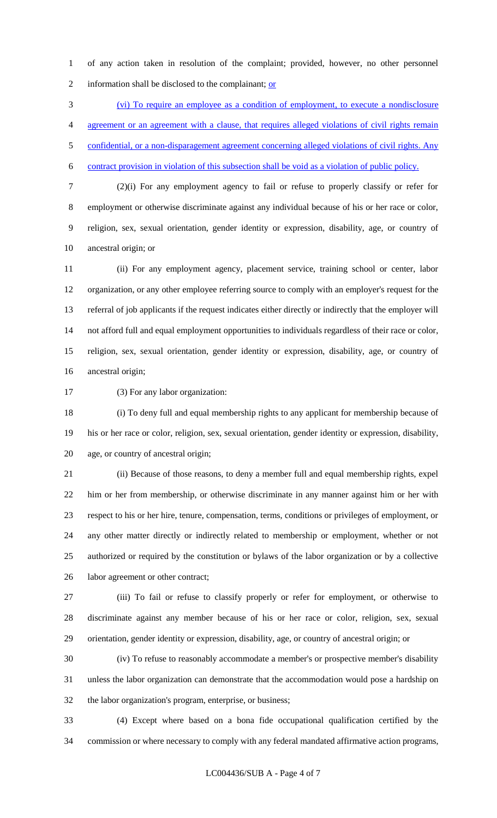of any action taken in resolution of the complaint; provided, however, no other personnel 2 information shall be disclosed to the complainant; or

 (vi) To require an employee as a condition of employment, to execute a nondisclosure agreement or an agreement with a clause, that requires alleged violations of civil rights remain 5 confidential, or a non-disparagement agreement concerning alleged violations of civil rights. Any contract provision in violation of this subsection shall be void as a violation of public policy.

 (2)(i) For any employment agency to fail or refuse to properly classify or refer for employment or otherwise discriminate against any individual because of his or her race or color, religion, sex, sexual orientation, gender identity or expression, disability, age, or country of ancestral origin; or

 (ii) For any employment agency, placement service, training school or center, labor organization, or any other employee referring source to comply with an employer's request for the referral of job applicants if the request indicates either directly or indirectly that the employer will not afford full and equal employment opportunities to individuals regardless of their race or color, religion, sex, sexual orientation, gender identity or expression, disability, age, or country of ancestral origin;

(3) For any labor organization:

 (i) To deny full and equal membership rights to any applicant for membership because of his or her race or color, religion, sex, sexual orientation, gender identity or expression, disability, age, or country of ancestral origin;

 (ii) Because of those reasons, to deny a member full and equal membership rights, expel him or her from membership, or otherwise discriminate in any manner against him or her with respect to his or her hire, tenure, compensation, terms, conditions or privileges of employment, or any other matter directly or indirectly related to membership or employment, whether or not authorized or required by the constitution or bylaws of the labor organization or by a collective labor agreement or other contract;

 (iii) To fail or refuse to classify properly or refer for employment, or otherwise to discriminate against any member because of his or her race or color, religion, sex, sexual orientation, gender identity or expression, disability, age, or country of ancestral origin; or

 (iv) To refuse to reasonably accommodate a member's or prospective member's disability unless the labor organization can demonstrate that the accommodation would pose a hardship on the labor organization's program, enterprise, or business;

 (4) Except where based on a bona fide occupational qualification certified by the commission or where necessary to comply with any federal mandated affirmative action programs,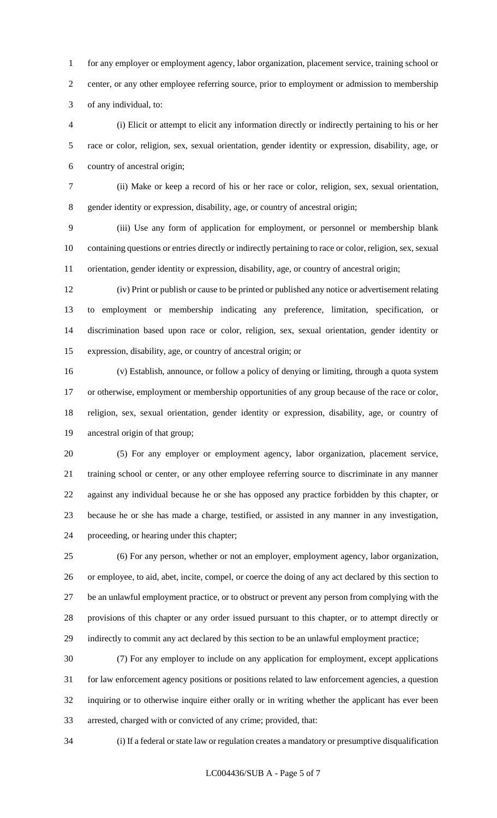for any employer or employment agency, labor organization, placement service, training school or center, or any other employee referring source, prior to employment or admission to membership of any individual, to:

 (i) Elicit or attempt to elicit any information directly or indirectly pertaining to his or her race or color, religion, sex, sexual orientation, gender identity or expression, disability, age, or country of ancestral origin;

 (ii) Make or keep a record of his or her race or color, religion, sex, sexual orientation, gender identity or expression, disability, age, or country of ancestral origin;

 (iii) Use any form of application for employment, or personnel or membership blank containing questions or entries directly or indirectly pertaining to race or color, religion, sex, sexual orientation, gender identity or expression, disability, age, or country of ancestral origin;

 (iv) Print or publish or cause to be printed or published any notice or advertisement relating to employment or membership indicating any preference, limitation, specification, or discrimination based upon race or color, religion, sex, sexual orientation, gender identity or expression, disability, age, or country of ancestral origin; or

 (v) Establish, announce, or follow a policy of denying or limiting, through a quota system or otherwise, employment or membership opportunities of any group because of the race or color, religion, sex, sexual orientation, gender identity or expression, disability, age, or country of ancestral origin of that group;

 (5) For any employer or employment agency, labor organization, placement service, training school or center, or any other employee referring source to discriminate in any manner against any individual because he or she has opposed any practice forbidden by this chapter, or because he or she has made a charge, testified, or assisted in any manner in any investigation, proceeding, or hearing under this chapter;

 (6) For any person, whether or not an employer, employment agency, labor organization, or employee, to aid, abet, incite, compel, or coerce the doing of any act declared by this section to be an unlawful employment practice, or to obstruct or prevent any person from complying with the provisions of this chapter or any order issued pursuant to this chapter, or to attempt directly or indirectly to commit any act declared by this section to be an unlawful employment practice;

 (7) For any employer to include on any application for employment, except applications for law enforcement agency positions or positions related to law enforcement agencies, a question inquiring or to otherwise inquire either orally or in writing whether the applicant has ever been arrested, charged with or convicted of any crime; provided, that:

(i) If a federal or state law or regulation creates a mandatory or presumptive disqualification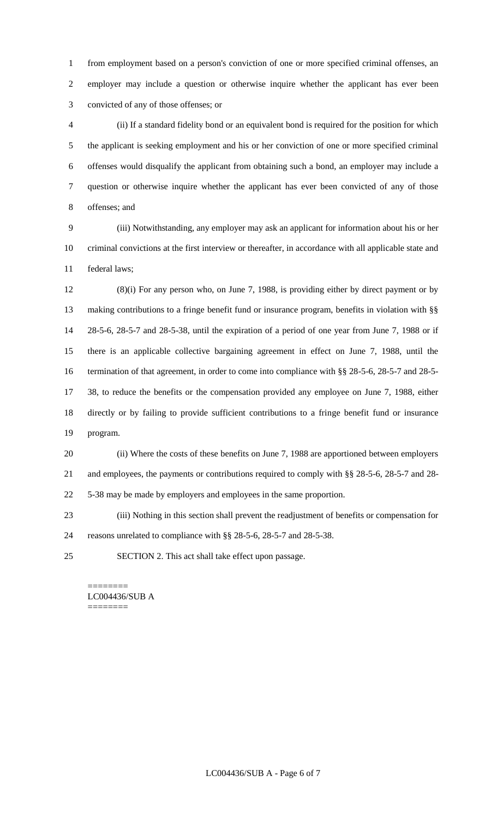from employment based on a person's conviction of one or more specified criminal offenses, an employer may include a question or otherwise inquire whether the applicant has ever been convicted of any of those offenses; or

 (ii) If a standard fidelity bond or an equivalent bond is required for the position for which the applicant is seeking employment and his or her conviction of one or more specified criminal offenses would disqualify the applicant from obtaining such a bond, an employer may include a question or otherwise inquire whether the applicant has ever been convicted of any of those offenses; and

 (iii) Notwithstanding, any employer may ask an applicant for information about his or her criminal convictions at the first interview or thereafter, in accordance with all applicable state and federal laws;

 (8)(i) For any person who, on June 7, 1988, is providing either by direct payment or by making contributions to a fringe benefit fund or insurance program, benefits in violation with §§ 28-5-6, 28-5-7 and 28-5-38, until the expiration of a period of one year from June 7, 1988 or if there is an applicable collective bargaining agreement in effect on June 7, 1988, until the 16 termination of that agreement, in order to come into compliance with §§ 28-5-6, 28-5-7 and 28-5- 38, to reduce the benefits or the compensation provided any employee on June 7, 1988, either directly or by failing to provide sufficient contributions to a fringe benefit fund or insurance program.

 (ii) Where the costs of these benefits on June 7, 1988 are apportioned between employers and employees, the payments or contributions required to comply with §§ 28-5-6, 28-5-7 and 28- 5-38 may be made by employers and employees in the same proportion.

 (iii) Nothing in this section shall prevent the readjustment of benefits or compensation for reasons unrelated to compliance with §§ 28-5-6, 28-5-7 and 28-5-38.

SECTION 2. This act shall take effect upon passage.

======== LC004436/SUB A ========